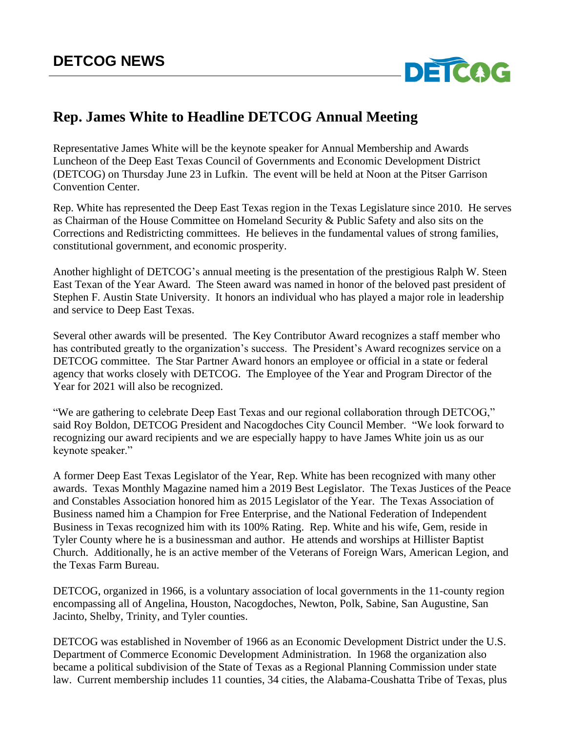

## **Rep. James White to Headline DETCOG Annual Meeting**

Representative James White will be the keynote speaker for Annual Membership and Awards Luncheon of the Deep East Texas Council of Governments and Economic Development District (DETCOG) on Thursday June 23 in Lufkin. The event will be held at Noon at the Pitser Garrison Convention Center.

Rep. White has represented the Deep East Texas region in the Texas Legislature since 2010. He serves as Chairman of the House Committee on Homeland Security & Public Safety and also sits on the Corrections and Redistricting committees. He believes in the fundamental values of strong families, constitutional government, and economic prosperity.

Another highlight of DETCOG's annual meeting is the presentation of the prestigious Ralph W. Steen East Texan of the Year Award. The Steen award was named in honor of the beloved past president of Stephen F. Austin State University. It honors an individual who has played a major role in leadership and service to Deep East Texas.

Several other awards will be presented. The Key Contributor Award recognizes a staff member who has contributed greatly to the organization's success. The President's Award recognizes service on a DETCOG committee. The Star Partner Award honors an employee or official in a state or federal agency that works closely with DETCOG. The Employee of the Year and Program Director of the Year for 2021 will also be recognized.

"We are gathering to celebrate Deep East Texas and our regional collaboration through DETCOG," said Roy Boldon, DETCOG President and Nacogdoches City Council Member. "We look forward to recognizing our award recipients and we are especially happy to have James White join us as our keynote speaker."

A former Deep East Texas Legislator of the Year, Rep. White has been recognized with many other awards. Texas Monthly Magazine named him a 2019 Best Legislator. The Texas Justices of the Peace and Constables Association honored him as 2015 Legislator of the Year. The Texas Association of Business named him a Champion for Free Enterprise, and the National Federation of Independent Business in Texas recognized him with its 100% Rating. Rep. White and his wife, Gem, reside in Tyler County where he is a businessman and author. He attends and worships at Hillister Baptist Church. Additionally, he is an active member of the Veterans of Foreign Wars, American Legion, and the Texas Farm Bureau.

DETCOG, organized in 1966, is a voluntary association of local governments in the 11-county region encompassing all of Angelina, Houston, Nacogdoches, Newton, Polk, Sabine, San Augustine, San Jacinto, Shelby, Trinity, and Tyler counties.

DETCOG was established in November of 1966 as an Economic Development District under the U.S. Department of Commerce Economic Development Administration. In 1968 the organization also became a political subdivision of the State of Texas as a Regional Planning Commission under state law. Current membership includes 11 counties, 34 cities, the Alabama-Coushatta Tribe of Texas, plus